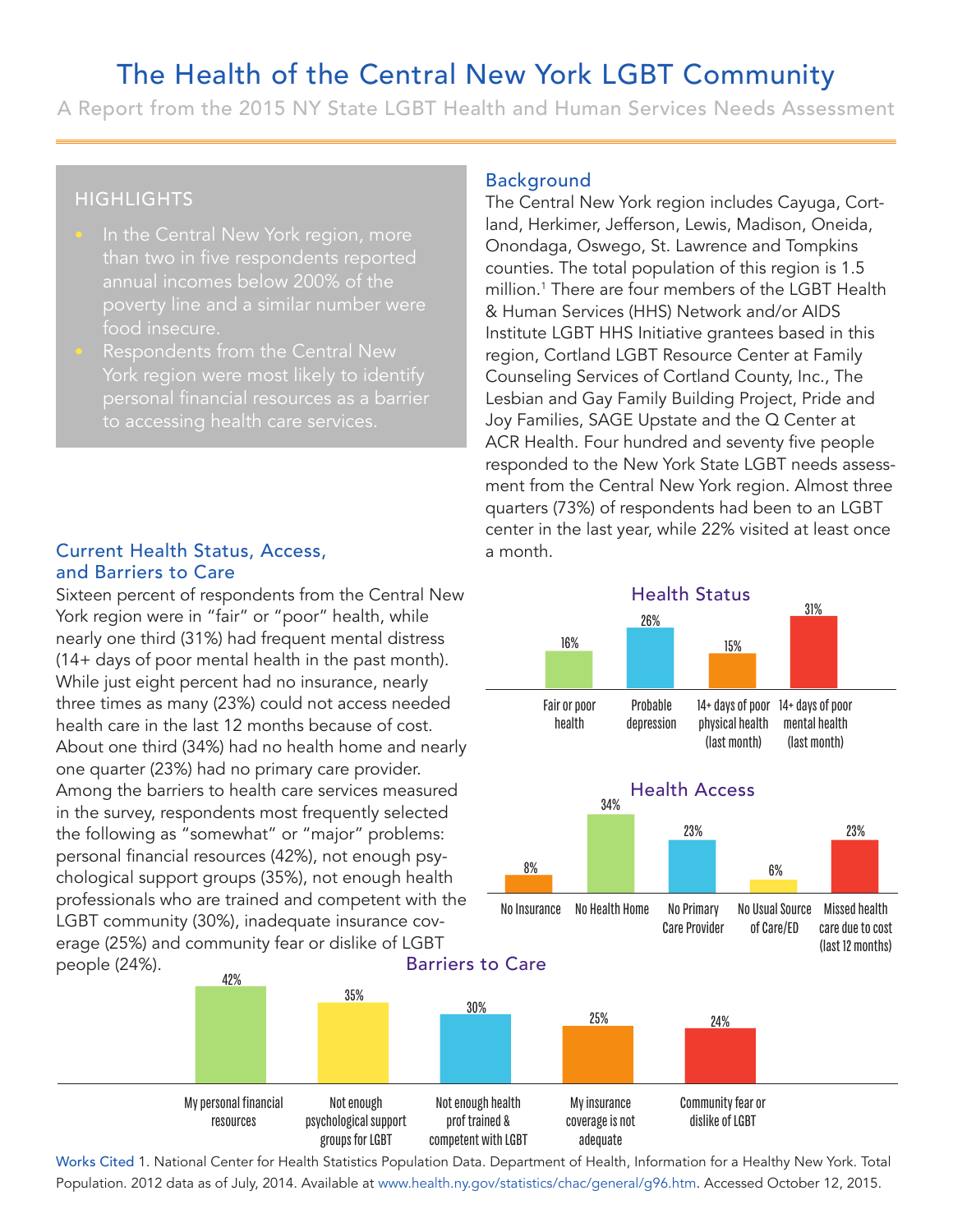# The Health of the Central New York LGBT Community

A Report from the 2015 NY State LGBT Health and Human Services Needs Assessment

## **HIGHLIGHTS**

- than two in five respondents reported annual incomes below 200% of the food insecure.
- Respondents from the Central New

#### Current Health Status, Access, and Barriers to Care

Sixteen percent of respondents from the Central New York region were in "fair" or "poor" health, while nearly one third (31%) had frequent mental distress (14+ days of poor mental health in the past month). While just eight percent had no insurance, nearly three times as many (23%) could not access needed health care in the last 12 months because of cost. About one third (34%) had no health home and nearly one quarter (23%) had no primary care provider. Among the barriers to health care services measured in the survey, respondents most frequently selected the following as "somewhat" or "major" problems: personal financial resources (42%), not enough psychological support groups (35%), not enough health professionals who are trained and competent with the LGBT community (30%), inadequate insurance coverage (25%) and community fear or dislike of LGBT people (24%). 42%

> My personal financial resources

Not enough psychological support groups for LGBT

35%

### Background

The Central New York region includes Cayuga, Cortland, Herkimer, Jefferson, Lewis, Madison, Oneida, Onondaga, Oswego, St. Lawrence and Tompkins counties. The total population of this region is 1.5 million.<sup>1</sup> There are four members of the LGBT Health & Human Services (HHS) Network and/or AIDS Institute LGBT HHS Initiative grantees based in this region, Cortland LGBT Resource Center at Family Counseling Services of Cortland County, Inc., The Lesbian and Gay Family Building Project, Pride and Joy Families, SAGE Upstate and the Q Center at ACR Health. Four hundred and seventy five people responded to the New York State LGBT needs assessment from the Central New York region. Almost three quarters (73%) of respondents had been to an LGBT center in the last year, while 22% visited at least once a month. Rentral New Y<br>Central New Y<br>*A*, Herkimer, Jet<br>pondaga, Osweg<br>nties. The total<br>ion.<sup>1</sup> There are<br>luman Services<br>itute LGBT HH:<br>ion, Cortland Lunseling Service<br>bian and Gay F<br>Families, SAGI<br>Realth. Four loonded to the l<br>t f ew York region includes Cayuga, Comparity Comparison, Lewis, Madison, Oneida,<br>
swego, St. Lawrence and Tompkins<br>
total population of this region is 1.5<br>
are four members of the LGBT Heal<br>
cies (HHS) Network and/or AIDS<br>
HH



Works Cited 1. National Center for Health Statistics Population Data. Department of Health, Information for a Healthy New York. Total Population. 2012 data as of July, 2014. Available at www.health.ny.gov/statistics/chac/general/g96.htm. Accessed October 12, 2015.

competent with LGBT

adequate